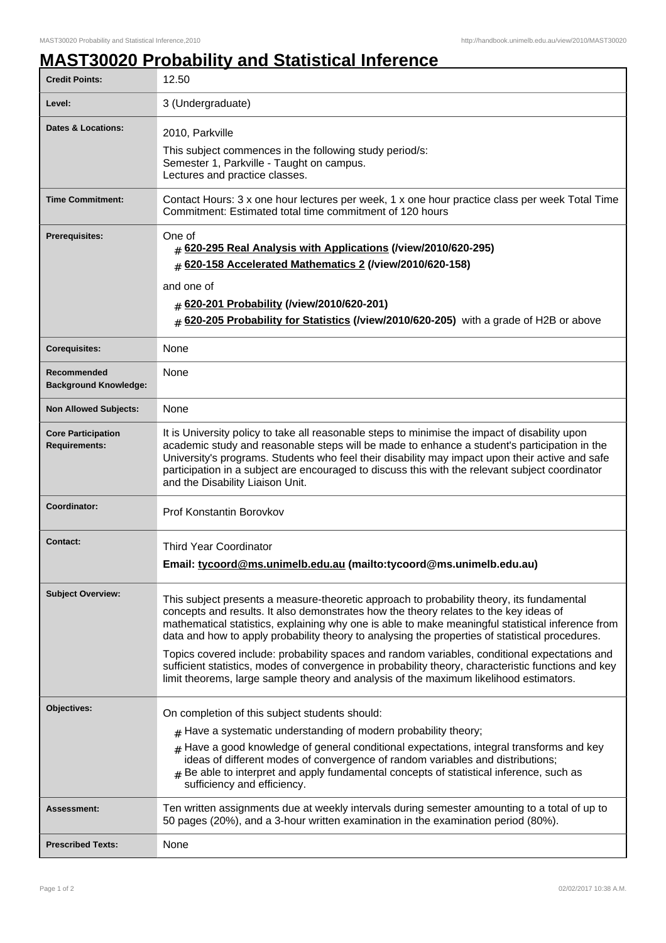٦

## **MAST30020 Probability and Statistical Inference**

| <b>Credit Points:</b>                             | 12.50                                                                                                                                                                                                                                                                                                                                                                                                                                                                                                                                                                                                                                                                                        |
|---------------------------------------------------|----------------------------------------------------------------------------------------------------------------------------------------------------------------------------------------------------------------------------------------------------------------------------------------------------------------------------------------------------------------------------------------------------------------------------------------------------------------------------------------------------------------------------------------------------------------------------------------------------------------------------------------------------------------------------------------------|
| Level:                                            | 3 (Undergraduate)                                                                                                                                                                                                                                                                                                                                                                                                                                                                                                                                                                                                                                                                            |
| <b>Dates &amp; Locations:</b>                     | 2010, Parkville<br>This subject commences in the following study period/s:<br>Semester 1, Parkville - Taught on campus.<br>Lectures and practice classes.                                                                                                                                                                                                                                                                                                                                                                                                                                                                                                                                    |
| <b>Time Commitment:</b>                           | Contact Hours: 3 x one hour lectures per week, 1 x one hour practice class per week Total Time<br>Commitment: Estimated total time commitment of 120 hours                                                                                                                                                                                                                                                                                                                                                                                                                                                                                                                                   |
| Prerequisites:                                    | One of<br>$#$ 620-295 Real Analysis with Applications (/view/2010/620-295)<br># 620-158 Accelerated Mathematics 2 (/view/2010/620-158)<br>and one of<br># 620-201 Probability (/view/2010/620-201)<br># 620-205 Probability for Statistics (/view/2010/620-205) with a grade of H2B or above                                                                                                                                                                                                                                                                                                                                                                                                 |
| <b>Corequisites:</b>                              | <b>None</b>                                                                                                                                                                                                                                                                                                                                                                                                                                                                                                                                                                                                                                                                                  |
| Recommended<br><b>Background Knowledge:</b>       | None                                                                                                                                                                                                                                                                                                                                                                                                                                                                                                                                                                                                                                                                                         |
| <b>Non Allowed Subjects:</b>                      | None                                                                                                                                                                                                                                                                                                                                                                                                                                                                                                                                                                                                                                                                                         |
| <b>Core Participation</b><br><b>Requirements:</b> | It is University policy to take all reasonable steps to minimise the impact of disability upon<br>academic study and reasonable steps will be made to enhance a student's participation in the<br>University's programs. Students who feel their disability may impact upon their active and safe<br>participation in a subject are encouraged to discuss this with the relevant subject coordinator<br>and the Disability Liaison Unit.                                                                                                                                                                                                                                                     |
| Coordinator:                                      | Prof Konstantin Borovkov                                                                                                                                                                                                                                                                                                                                                                                                                                                                                                                                                                                                                                                                     |
| <b>Contact:</b>                                   | <b>Third Year Coordinator</b><br>Email: tycoord@ms.unimelb.edu.au (mailto:tycoord@ms.unimelb.edu.au)                                                                                                                                                                                                                                                                                                                                                                                                                                                                                                                                                                                         |
| <b>Subject Overview:</b>                          | This subject presents a measure-theoretic approach to probability theory, its fundamental<br>concepts and results. It also demonstrates how the theory relates to the key ideas of<br>mathematical statistics, explaining why one is able to make meaningful statistical inference from<br>data and how to apply probability theory to analysing the properties of statistical procedures.<br>Topics covered include: probability spaces and random variables, conditional expectations and<br>sufficient statistics, modes of convergence in probability theory, characteristic functions and key<br>limit theorems, large sample theory and analysis of the maximum likelihood estimators. |
| Objectives:                                       | On completion of this subject students should:                                                                                                                                                                                                                                                                                                                                                                                                                                                                                                                                                                                                                                               |
|                                                   | $#$ Have a systematic understanding of modern probability theory;                                                                                                                                                                                                                                                                                                                                                                                                                                                                                                                                                                                                                            |
|                                                   | Have a good knowledge of general conditional expectations, integral transforms and key<br>#<br>ideas of different modes of convergence of random variables and distributions;<br>$#$ Be able to interpret and apply fundamental concepts of statistical inference, such as<br>sufficiency and efficiency.                                                                                                                                                                                                                                                                                                                                                                                    |
| Assessment:                                       | Ten written assignments due at weekly intervals during semester amounting to a total of up to<br>50 pages (20%), and a 3-hour written examination in the examination period (80%).                                                                                                                                                                                                                                                                                                                                                                                                                                                                                                           |
| <b>Prescribed Texts:</b>                          | None                                                                                                                                                                                                                                                                                                                                                                                                                                                                                                                                                                                                                                                                                         |